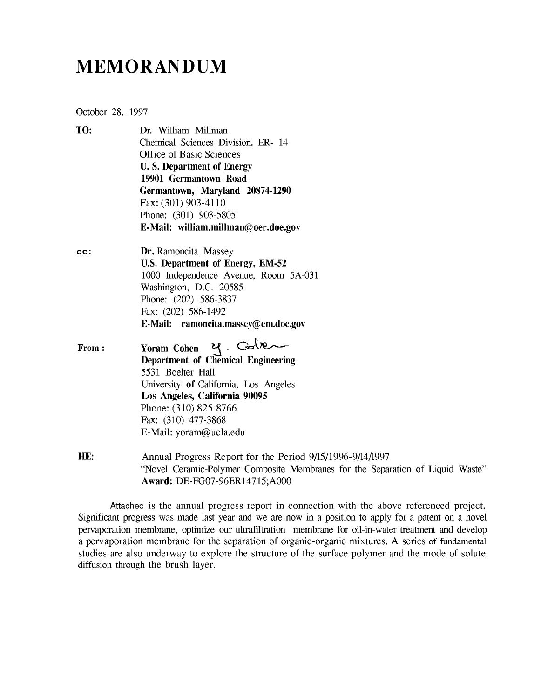# **MEMORANDUM**

October 28. 1997

- TO: Dr. William Millman Chemical Sciences Division. ER- 14 Office of Basic Sciences **U. S. Department of Energy 19901 Germantown Road Germantown, Maryland 20874-1290** Fax: (301) 903-4110 Phone: (301) 903-5805 **E-Mail: william.millman@oer.doe.gov**
- **cc: Dr.** Ramoncita Massey **U.S. Department of Energy, EM-52** 1000 Independence Avenue, Room 5A-031 Washington, D.C. 20585 Phone: (202) 586-3837 Fax: (202) 586-1492 **E-Mail: ramoncita.massey@em.doe.gov**
- **From Yoram Cohen ^ Department of Chemical Engineering** 5531 Boelter Hall University **of** California, Los Angeles **Los Angeles, California 90095** Phone: (310) 825-8766 Fax: (310) 477-3868 E-Mail: yoram@ucla.edu
- **HE:** Annual Progress Report for the Period 9/15/1996-9/14/1997 "Novel Ceramic-Polymer Composite Membranes for the Separation of Liquid Waste" **Award:** DE-FG07-96ER14715;A000

Attached is the annual progress report in connection with the above referenced project. Significant progress was made last year and we are now in a position to apply for a patent on a novel pervaporation membrane, optimize our ultrafiltration membrane for oil-in-water treatment and develop a pervaporation membrane for the separation of organic-organic mixtures. A series of fundamental studies are also underway to explore the structure of the surface polymer and the mode of solute diffusion through the brush layer.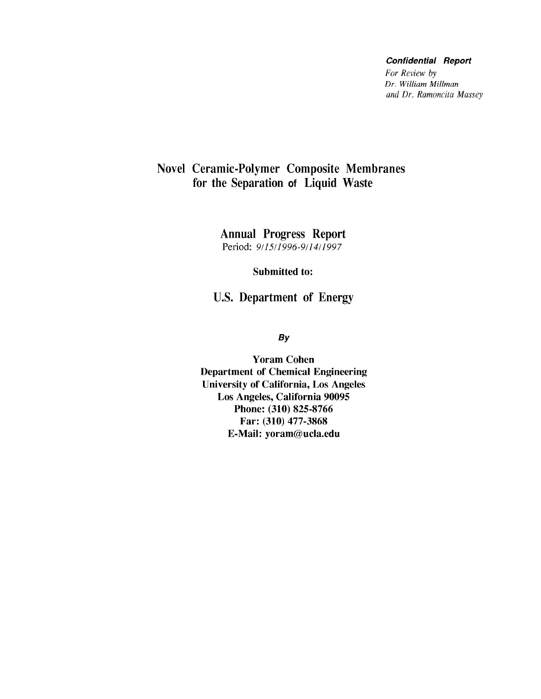#### **Confidential Report**

*For Review by Dr. William Millman and Dr. Ramoncita Massey*

### Novel Ceramic-Polymer Composite Membranes for the Separation of Liquid Waste

Annual Progress Report Period: *911511996-911411997*

Submitted to:

U.S. Department of Energy

*By*

Yoram Cohen Department of Chemical Engineering University of California, Los Angeles Los Angeles, California 90095 Phone: (310) 825-8766 Far: (310) 477-3868 E-Mail: yoram@ucla.edu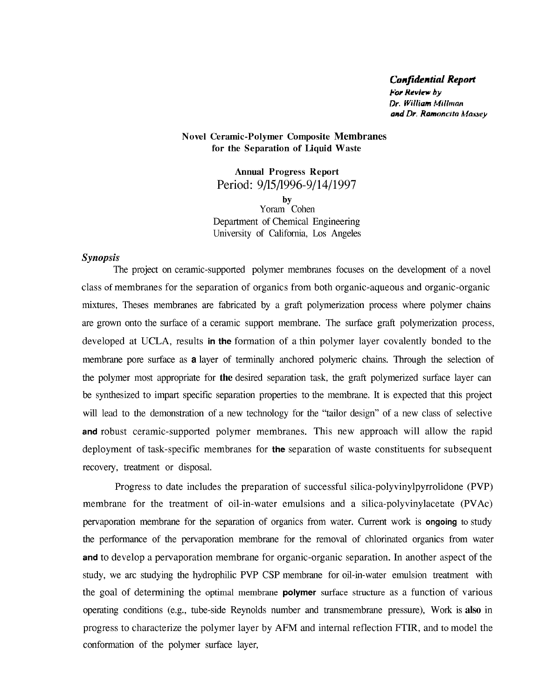#### *Confidential Report*

*For Review hy Dr. William Mitlrnan and Dr. Ramoncito Massey*

#### Novel Ceramic-Polymer Composite Membranes for the Separation of Liquid Waste

Annual Progress Report Period: 9/15/1996-9/14/1997 by Yoram Cohen Department of Chemical Engineering University of California, Los Angeles

#### *Synopsis*

The project on ceramic-supported polymer membranes focuses on the development of a novel class of membranes for the separation of organics from both organic-aqueous and organic-organic mixtures, Theses membranes are fabricated by a graft polymerization process where polymer chains are grown onto the surface of a ceramic support membrane. The surface graft polymerization process, developed at UCLA, results **in the** formation of a thin polymer layer covalently bonded to the membrane pore surface as **a** layer of terminally anchored polymeric chains. Through the selection of the polymer most appropriate for **the** desired separation task, the graft polymerized surface layer can be synthesized to impart specific separation properties to the membrane. It is expected that this project will lead to the demonstration of a new technology for the "tailor design" of a new class of selective **and** robust ceramic-supported polymer membranes. This new approach will allow the rapid deployment of task-specific membranes for **the** separation of waste constituents for subsequent recovery, treatment or disposal.

Progress to date includes the preparation of successful silica-polyvinylpyrrolidone (PVP) membrane for the treatment of oil-in-water emulsions and a silica-polyvinylacetate (PVAc) pervaporation membrane for the separation of organics from water. Current work is **ongoing** to study the performance of the pervaporation membrane for the removal of chlorinated organics from water **and** to develop a pervaporation membrane for organic-organic separation. In another aspect of the study, we arc studying the hydrophilic PVP CSP membrane for oil-in-water emulsion treatment with the goal of determining the optimal membrane **polymer** surface structure as a function of various operating conditions (e.g., tube-side Reynolds number and transmembrane pressure), Work is **also** in progress to characterize the polymer layer by AFM and internal reflection FTIR, and to model the conformation of the polymer surface layer,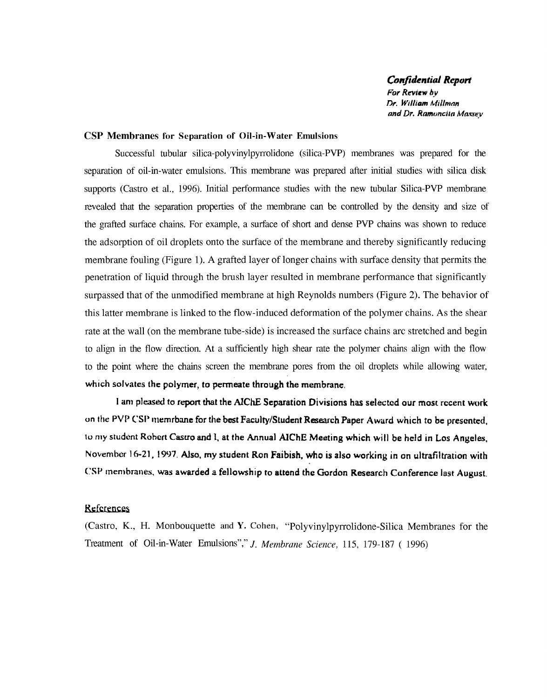*Confidential Report For Review by Dr. William Kiillmnn* and Dr. Ramoncita Maxsey

#### CSP Membranes for Separation of Oil-in-Water Emulsions

Successful tubular silica-polyvinylpyrrolidone (silica-PVP) membranes was prepared for the separation of oil-in-water emulsions. This membrane was prepared after initial studies with silica disk supports (Castro et al, 1996). Initial performance studies with the new tubular Silica-PVP membrane revealed that the separation properties of the membrane can be controlled by the density and size of the grafted surface chains. For example, a surface of short and dense PVP chains was shown to reduce the adsorption of oil droplets onto the surface of the membrane and thereby significantly reducing membrane fouling (Figure 1). A grafted layer of longer chains with surface density that permits the penetration of liquid through the brush layer resulted in membrane performance that significantly surpassed that of the unmodified membrane at high Reynolds numbers (Figure 2). The behavior of this latter membrane is linked to the flow-induced deformation of the polymer chains. As the shear rate at the wall (on the membrane tube-side) is increased the surface chains arc stretched and begin to align in the flow direction. At a sufficiently high shear rate the polymer chains align with the flow to the point where the chains screen the membrane pores from the oil droplets while allowing water, **which solvates the polymer,** *to* **permeate through the membrane.**

**I am pleased to report that the AlChE Separation Divisions has selected our most recent work** on the PVP CSP memrbane for the best Faculty/Student Research Paper Award which to be presented, to my student **Robert Castro and i, at the Annual AIChE Meeting which will be held in Los Angeles,** November 16-21, 1997. **Also, my student Ron Faibish, who is also working in on ultrafiltration with C\Sl<sup>J</sup>** membranes, was **awarded a fellowship to attend the Gordon Research Conference last August.**

#### **References**

(Castro, K., H. Monbouquette and Y. Cohen, "Polyvinylpyrrolidone-Silica Membranes for the Treatment of Oil-in-Water Emulsions","/. *Membrane Science,* 115, 179-187 ( 1996)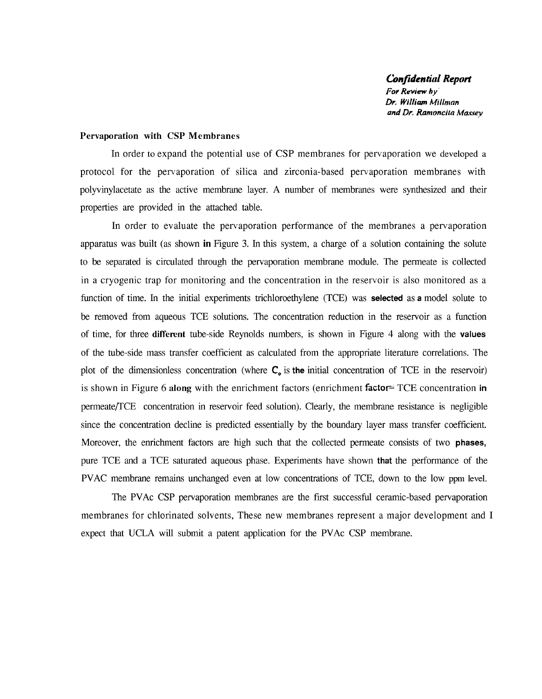*Confidential Report For Review by Dr. William Miltman and Dr. Ramonclta Massey*

#### Pervaporation with CSP Membranes

In order to expand the potential use of CSP membranes for pervaporation we developed a protocol for the pervaporation of silica and zirconia-based pervaporation membranes with polyvinylacetate as the active membrane layer. A number of membranes were synthesized and their properties are provided in the attached table.

In order to evaluate the pervaporation performance of the membranes a pervaporation apparatus was built (as shown **in** Figure 3. In this system, a charge of a solution containing the solute to be separated is circulated through the pervaporation membrane module. The permeate is collected in a cryogenic trap for monitoring and the concentration in the reservoir is also monitored as a function of time. In the initial experiments trichloroethylene (TCE) was **selected** as **a** model solute to be removed from aqueous TCE solutions. The concentration reduction in the reservoir as a function of time, for three **different** tube-side Reynolds numbers, is shown in Figure 4 along with the **values** of the tube-side mass transfer coefficient as calculated from the appropriate literature correlations. The plot of the dimensionless concentration (where C, is **the** initial concentration of TCE in the reservoir) is shown in Figure 6 along with the enrichment factors (enrichment **factor^** TCE concentration **in** permeate/TCE concentration in reservoir feed solution). Clearly, the membrane resistance is negligible since the concentration decline is predicted essentially by the boundary layer mass transfer coefficient. Moreover, the enrichment factors are high such that the collected permeate consists of two **phases,** pure TCE and a TCE saturated aqueous phase. Experiments have shown **that** the performance of the PVAC membrane remains unchanged even at low concentrations of TCE, down to the low ppm level.

The PVAc CSP pervaporation membranes are the first successful ceramic-based pervaporation membranes for chlorinated solvents, These new membranes represent a major development and I expect that UCLA will submit a patent application for the PVAc CSP membrane.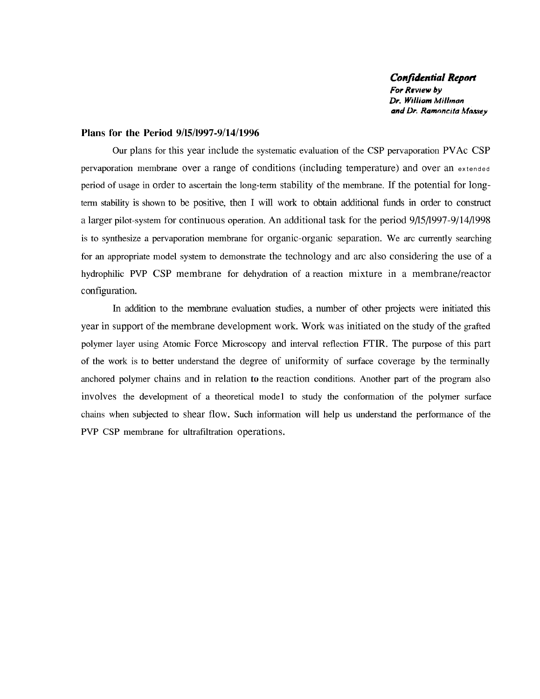*Confidential Report For Review by Dr. William Millman and Dr. Ramnncita Max.sey*

#### **Plans for the Period 9/15/1997-9/14/1996**

Our plans for this year include the systematic evaluation of the CSP pervaporation PVAc CSP pervaporation membrane over a range of conditions (including temperature) and over an extended period of usage in order to ascertain the long-term stability of the membrane. If the potential for longterm stability is shown to be positive, then I will work to obtain additional funds in order to construct a larger pilot-system for continuous operation. An additional task for the period 9/15/1997-9/14/1998 is to synthesize a pervaporation membrane for organic-organic separation. We arc currently searching for an appropriate model system to demonstrate the technology and arc also considering the use of a hydrophilic PVP CSP membrane for dehydration of a reaction mixture in a membrane/reactor configuration.

In addition to the membrane evaluation studies, a number of other projects were initiated this year in support of the membrane development work. Work was initiated on the study of the grafted polymer layer using Atomic Force Microscopy and interval reflection FTIR. The purpose of this part of the work is to better understand the degree of uniformity of surface coverage by the terminally anchored polymer chains and in relation to the reaction conditions. Another part of the program also involves the development of a theoretical model to study the conformation of the polymer surface chains when subjected to shear flow. Such information will help us understand the performance of the PVP CSP membrane for ultrafiltration operations.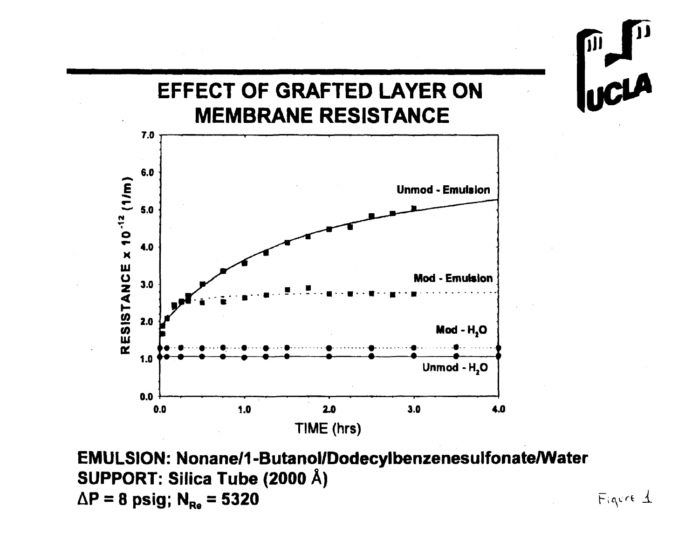

EMULSION: Nonane/1-Butanol/Dodecylbenzenesulfonate/Water SUPPORT: Silica Tube (2000 Å)  $\Delta P = 8$  psig; N<sub>Re</sub> = 5320

Figure 1

 $\overline{\mathcal{M}}$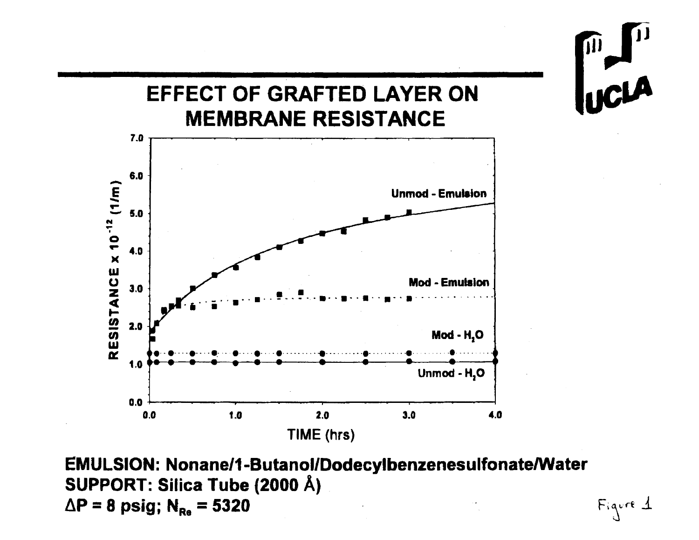

**EMULSION: Nonane/1-Butanol/Dodecylbenzenesulfonate/Water SUPPORT: Silica Tube (2000 A)**  $\Delta P = 8 \text{ psig; } N_{Re} = 5320$  **figure**  $\Delta$ 

JII

UCLA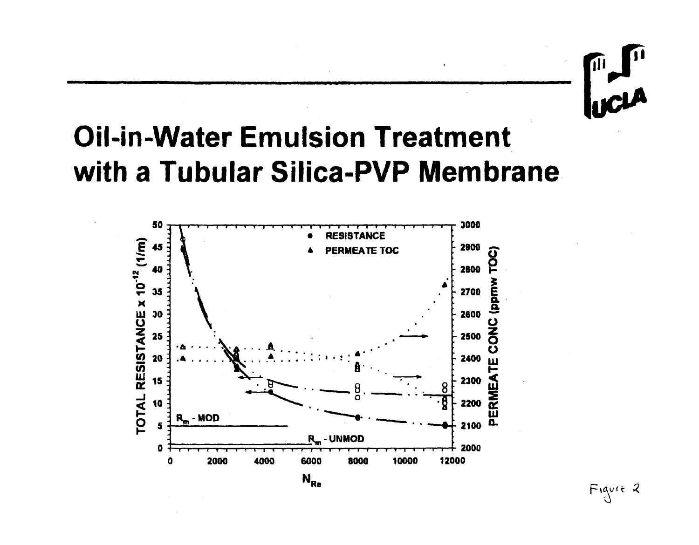# **VICLA**

# **Oil-in-Water Emulsion Treatment** with a Tubular Silica-PVP Membrane



Figure 2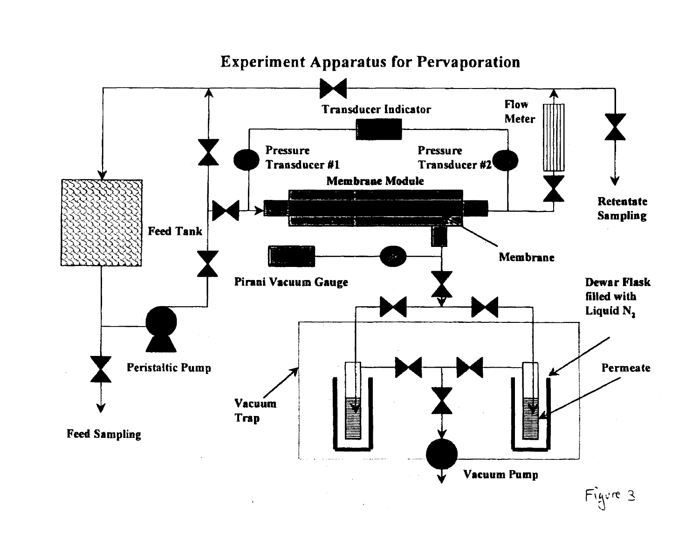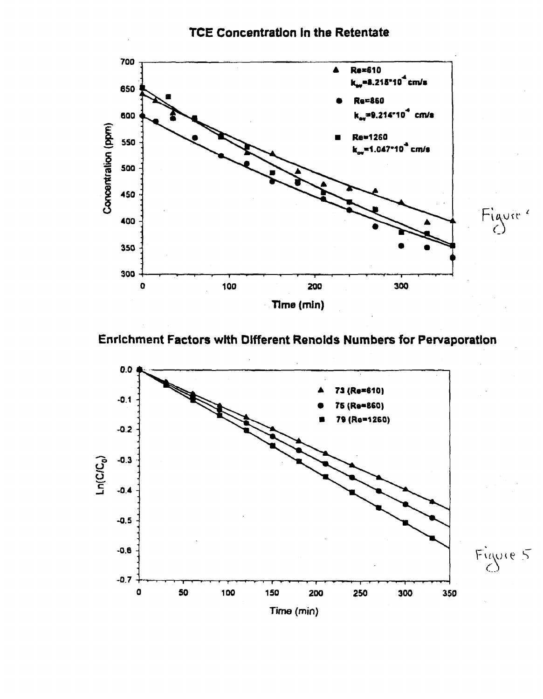**TCE Concentration in the Retentate** 



Enrichment Factors with Different Renolds Numbers for Pervaporation